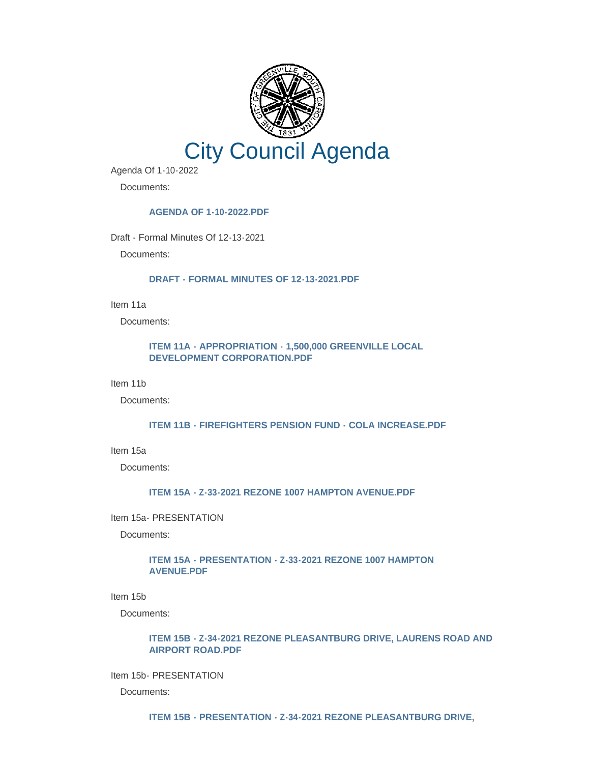

Agenda Of 1-10-2022

Documents:

# **[AGENDA OF 1-10-2022.PDF](http://www.greenvillesc.gov/AgendaCenter/ViewFile/Item/9122?fileID=48221)**

Draft - Formal Minutes Of 12-13-2021

Documents:

#### **[DRAFT - FORMAL MINUTES OF 12-13-2021.PDF](http://www.greenvillesc.gov/AgendaCenter/ViewFile/Item/9123?fileID=48222)**

Item 11a

Documents:

# **[ITEM 11A - APPROPRIATION - 1,500,000 GREENVILLE LOCAL](http://www.greenvillesc.gov/AgendaCenter/ViewFile/Item/9124?fileID=48223)  DEVELOPMENT CORPORATION.PDF**

Item 11b

Documents:

#### **[ITEM 11B - FIREFIGHTERS PENSION FUND - COLA INCREASE.PDF](http://www.greenvillesc.gov/AgendaCenter/ViewFile/Item/9125?fileID=48224)**

Item 15a

Documents:

# **[ITEM 15A - Z-33-2021 REZONE 1007 HAMPTON AVENUE.PDF](http://www.greenvillesc.gov/AgendaCenter/ViewFile/Item/9127?fileID=48226)**

### Item 15a- PRESENTATION

Documents:

### **[ITEM 15A - PRESENTATION - Z-33-2021 REZONE 1007 HAMPTON](http://www.greenvillesc.gov/AgendaCenter/ViewFile/Item/9126?fileID=48225)  AVENUE.PDF**

Item 15b

Documents:

# **[ITEM 15B - Z-34-2021 REZONE PLEASANTBURG DRIVE, LAURENS ROAD AND](http://www.greenvillesc.gov/AgendaCenter/ViewFile/Item/9129?fileID=48228)  AIRPORT ROAD.PDF**

Item 15b- PRESENTATION

Documents:

**[ITEM 15B - PRESENTATION - Z-34-2021 REZONE PLEASANTBURG DRIVE,](http://www.greenvillesc.gov/AgendaCenter/ViewFile/Item/9128?fileID=48227)**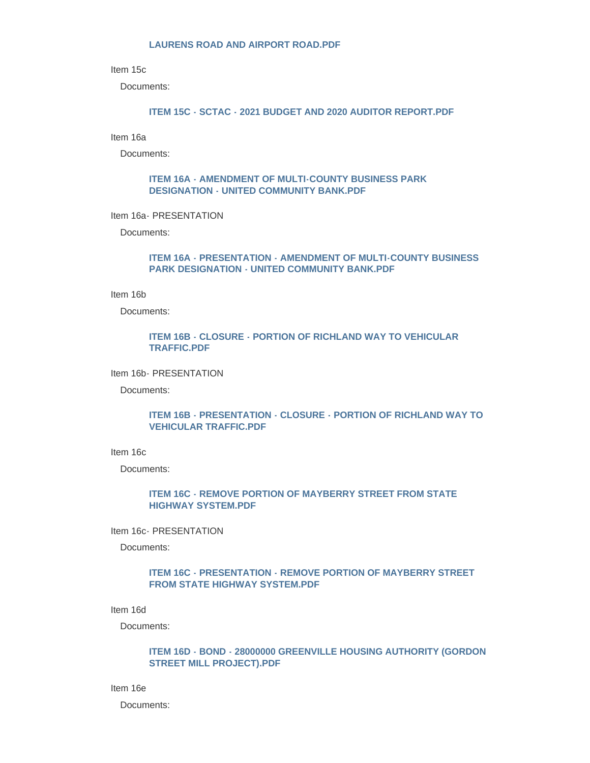#### **LAURENS ROAD AND AIRPORT ROAD.PDF**

Item 15c

Documents:

## **[ITEM 15C - SCTAC - 2021 BUDGET AND 2020 AUDITOR REPORT.PDF](http://www.greenvillesc.gov/AgendaCenter/ViewFile/Item/9130?fileID=48229)**

Item 16a

Documents:

### **[ITEM 16A - AMENDMENT OF MULTI-COUNTY BUSINESS PARK](http://www.greenvillesc.gov/AgendaCenter/ViewFile/Item/9131?fileID=48230)  DESIGNATION - UNITED COMMUNITY BANK.PDF**

Item 16a- PRESENTATION

Documents:

## **[ITEM 16A - PRESENTATION - AMENDMENT OF MULTI-COUNTY BUSINESS](http://www.greenvillesc.gov/AgendaCenter/ViewFile/Item/9132?fileID=48231)  PARK DESIGNATION - UNITED COMMUNITY BANK.PDF**

Item 16b

Documents:

# **[ITEM 16B - CLOSURE - PORTION OF RICHLAND WAY TO VEHICULAR](http://www.greenvillesc.gov/AgendaCenter/ViewFile/Item/9143?fileID=48243)  TRAFFIC.PDF**

Item 16b- PRESENTATION

Documents:

### **[ITEM 16B - PRESENTATION - CLOSURE - PORTION OF RICHLAND WAY TO](http://www.greenvillesc.gov/AgendaCenter/ViewFile/Item/9134?fileID=48233)  VEHICULAR TRAFFIC.PDF**

Item 16c

Documents:

## **[ITEM 16C - REMOVE PORTION OF MAYBERRY STREET FROM STATE](http://www.greenvillesc.gov/AgendaCenter/ViewFile/Item/9136?fileID=48235)  HIGHWAY SYSTEM.PDF**

Item 16c- PRESENTATION

Documents:

### **[ITEM 16C - PRESENTATION - REMOVE PORTION OF MAYBERRY STREET](http://www.greenvillesc.gov/AgendaCenter/ViewFile/Item/9135?fileID=48234)  FROM STATE HIGHWAY SYSTEM.PDF**

Item 16d

Documents:

### **[ITEM 16D - BOND - 28000000 GREENVILLE HOUSING AUTHORITY \(GORDON](http://www.greenvillesc.gov/AgendaCenter/ViewFile/Item/9137?fileID=48236)  STREET MILL PROJECT).PDF**

Item 16e

Documents: